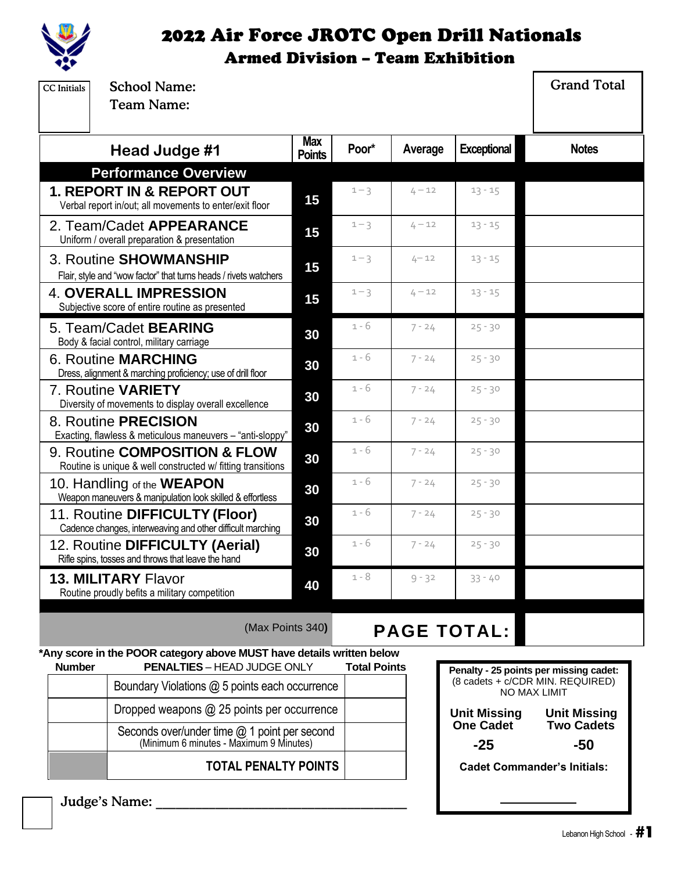

| <b>CC</b> Initials | <b>School Name:</b><br><b>Team Name:</b>                                                                    |                             |                     |          |                                        | <b>Grand Total</b>                               |
|--------------------|-------------------------------------------------------------------------------------------------------------|-----------------------------|---------------------|----------|----------------------------------------|--------------------------------------------------|
|                    | Head Judge #1                                                                                               | <b>Max</b><br><b>Points</b> | Poor*               | Average  | <b>Exceptional</b>                     | <b>Notes</b>                                     |
|                    | <b>Performance Overview</b>                                                                                 |                             |                     |          |                                        |                                                  |
|                    | <b>1. REPORT IN &amp; REPORT OUT</b><br>Verbal report in/out; all movements to enter/exit floor             | 15                          | $1 - 3$             | $4 - 12$ | $13 - 15$                              |                                                  |
|                    | 2. Team/Cadet APPEARANCE<br>Uniform / overall preparation & presentation                                    | 15                          | $1 - 3$             | $4 - 12$ | $13 - 15$                              |                                                  |
|                    | 3. Routine SHOWMANSHIP<br>Flair, style and "wow factor" that turns heads / rivets watchers                  | 15                          | $1 - 3$             | $4 - 12$ | $13 - 15$                              |                                                  |
|                    | <b>4. OVERALL IMPRESSION</b><br>Subjective score of entire routine as presented                             | 15                          | $1 - 3$             | $4 - 12$ | $13 - 15$                              |                                                  |
|                    | 5. Team/Cadet BEARING<br>Body & facial control, military carriage                                           | 30                          | $1 - 6$             | $7 - 24$ | $25 - 30$                              |                                                  |
|                    | <b>6. Routine MARCHING</b><br>Dress, alignment & marching proficiency; use of drill floor                   | 30                          | $1 - 6$             | $7 - 24$ | $25 - 30$                              |                                                  |
|                    | 7. Routine VARIETY<br>Diversity of movements to display overall excellence                                  | 30                          | $1 - 6$             | $7 - 24$ | $25 - 30$                              |                                                  |
|                    | 8. Routine <b>PRECISION</b><br>Exacting, flawless & meticulous maneuvers - "anti-sloppy"                    | 30                          | $1 - 6$             | $7 - 24$ | $25 - 30$                              |                                                  |
|                    | 9. Routine COMPOSITION & FLOW<br>Routine is unique & well constructed w/ fitting transitions                | 30                          | $1 - 6$             | $7 - 24$ | $25 - 30$                              |                                                  |
|                    | 10. Handling of the <b>WEAPON</b><br>Weapon maneuvers & manipulation look skilled & effortless              | 30                          | $1 - 6$             | $7 - 24$ | $25 - 30$                              |                                                  |
|                    | 11. Routine DIFFICULTY (Floor)<br>Cadence changes, interweaving and other difficult marching                | 30                          | $1 - 6$             | $7 - 24$ | $25 - 30$                              |                                                  |
|                    | 12. Routine DIFFICULTY (Aerial)<br>Rifle spins, tosses and throws that leave the hand                       | 30                          | $1 - 6$             | $7 - 24$ | $25 - 30$                              |                                                  |
|                    | <b>13. MILITARY Flavor</b><br>Routine proudly befits a military competition                                 | 40                          | $1 - 8$             | $9 - 32$ | $33 - 40$                              |                                                  |
|                    | (Max Points 340)                                                                                            |                             |                     |          | <b>PAGE TOTAL:</b>                     |                                                  |
| <b>Number</b>      | *Any score in the POOR category above MUST have details written below<br><b>PENALTIES - HEAD JUDGE ONLY</b> |                             | <b>Total Points</b> |          | Penalty - 25 points per missing cadet: |                                                  |
|                    | Boundary Violations @ 5 points each occurrence                                                              |                             |                     |          |                                        | (8 cadets + c/CDR MIN. REQUIRED)<br>NO MAX LIMIT |
|                    | Dropped weapons @ 25 points per occurrence                                                                  |                             |                     |          | <b>Unit Missing</b>                    | <b>Unit Missing</b>                              |
|                    | Seconds over/under time @ 1 point per second<br>(Minimum 6 minutes - Maximum 9 Minutes)                     |                             |                     |          | <b>One Cadet</b><br>$-25$              | <b>Two Cadets</b><br>$-50$                       |

**TOTAL PENALTY POINTS**

**-25 -50**

**Cadet Commander's Initials:**

Judge's Name: \_\_\_\_\_\_\_\_\_\_\_\_\_\_\_\_\_\_\_\_\_\_\_\_\_\_\_\_\_\_\_\_\_\_\_\_\_\_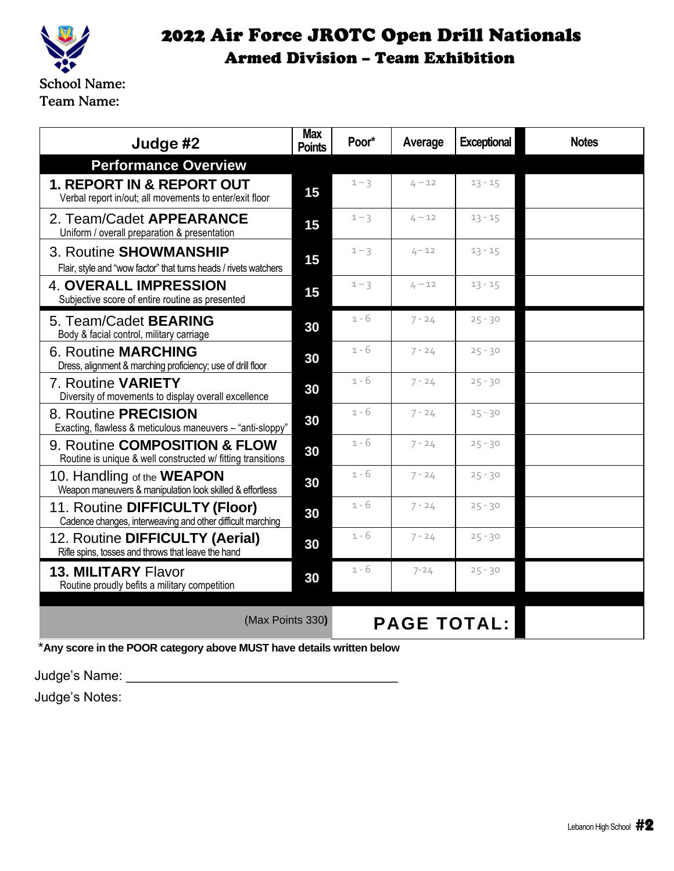

| Judge #2                                                                                        | <b>Max</b><br><b>Points</b> | Poor*   | Average  | <b>Exceptional</b> | <b>Notes</b> |
|-------------------------------------------------------------------------------------------------|-----------------------------|---------|----------|--------------------|--------------|
| <b>Performance Overview</b>                                                                     |                             |         |          |                    |              |
| <b>1. REPORT IN &amp; REPORT OUT</b><br>Verbal report in/out; all movements to enter/exit floor | 15                          | $1 - 3$ | $4 - 12$ | $13 - 15$          |              |
| 2. Team/Cadet APPEARANCE<br>Uniform / overall preparation & presentation                        | 15                          | $1 - 3$ | $4 - 12$ | $13 - 15$          |              |
| 3. Routine SHOWMANSHIP<br>Flair, style and "wow factor" that turns heads / rivets watchers      | 15                          | $1 - 3$ | $4 - 12$ | $13 - 15$          |              |
| <b>4. OVERALL IMPRESSION</b><br>Subjective score of entire routine as presented                 | 15                          | $1 - 3$ | $4 - 12$ | $13 - 15$          |              |
| 5. Team/Cadet <b>BEARING</b><br>Body & facial control, military carriage                        | 30                          | $1 - 6$ | $7 - 24$ | $25 - 30$          |              |
| <b>6. Routine MARCHING</b><br>Dress, alignment & marching proficiency; use of drill floor       | 30                          | $1 - 6$ | $7 - 24$ | $25 - 30$          |              |
| 7. Routine VARIETY<br>Diversity of movements to display overall excellence                      | 30                          | $1 - 6$ | $7 - 24$ | $25 - 30$          |              |
| 8. Routine PRECISION<br>Exacting, flawless & meticulous maneuvers - "anti-sloppy"               | 30                          | $1 - 6$ | $7 - 24$ | $25 - 30$          |              |
| 9. Routine COMPOSITION & FLOW<br>Routine is unique & well constructed w/ fitting transitions    | 30                          | $1 - 6$ | $7 - 24$ | $25 - 30$          |              |
| 10. Handling of the <b>WEAPON</b><br>Weapon maneuvers & manipulation look skilled & effortless  | 30                          | $1 - 6$ | $7 - 24$ | $25 - 30$          |              |
| 11. Routine DIFFICULTY (Floor)<br>Cadence changes, interweaving and other difficult marching    | 30                          | $1 - 6$ | $7 - 24$ | $25 - 30$          |              |
| 12. Routine DIFFICULTY (Aerial)<br>Rifle spins, tosses and throws that leave the hand           | 30                          | $1 - 6$ | $7 - 24$ | $25 - 30$          |              |
| <b>13. MILITARY Flavor</b><br>Routine proudly befits a military competition                     | 30                          | $1 - 6$ | $7 - 24$ | $25 - 30$          |              |
|                                                                                                 | (Max Points 330)            |         |          | <b>PAGE TOTAL:</b> |              |

\***Any score in the POOR category above MUST have details written below**

Judge's Name: \_\_\_\_\_\_\_\_\_\_\_\_\_\_\_\_\_\_\_\_\_\_\_\_\_\_\_\_\_\_\_\_\_\_\_\_\_

Judge's Notes: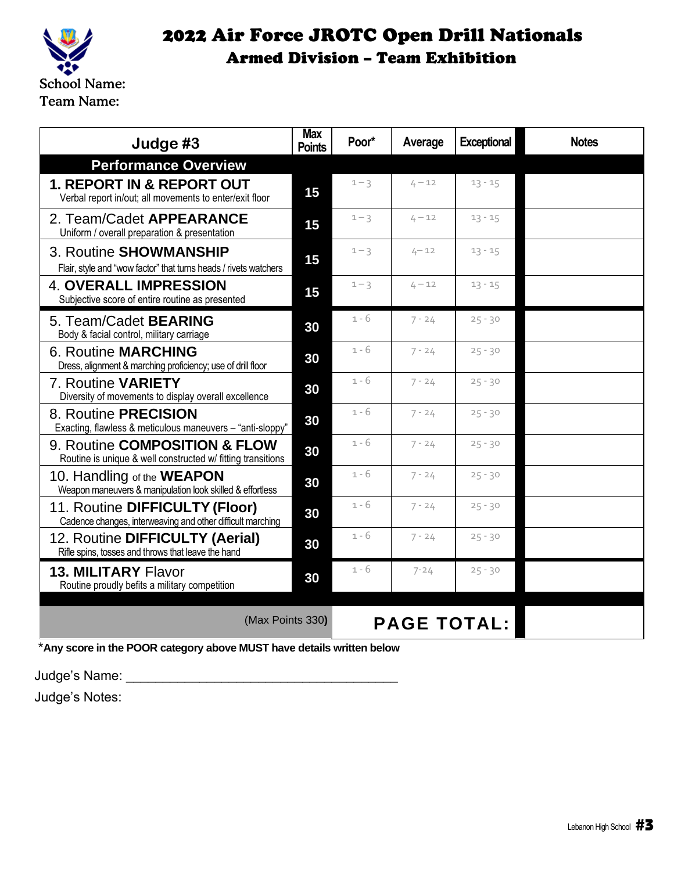

| Judge #3                                                                                        | <b>Max</b><br><b>Points</b> | Poor*              | Average  | <b>Exceptional</b> | <b>Notes</b> |
|-------------------------------------------------------------------------------------------------|-----------------------------|--------------------|----------|--------------------|--------------|
| <b>Performance Overview</b>                                                                     |                             |                    |          |                    |              |
| <b>1. REPORT IN &amp; REPORT OUT</b><br>Verbal report in/out; all movements to enter/exit floor | 15                          | $1 - 3$            | $4 - 12$ | $13 - 15$          |              |
| 2. Team/Cadet APPEARANCE<br>Uniform / overall preparation & presentation                        | 15                          | $1 - 3$            | $4 - 12$ | $13 - 15$          |              |
| 3. Routine SHOWMANSHIP<br>Flair, style and "wow factor" that turns heads / rivets watchers      | 15                          | $1 - 3$            | $4 - 12$ | $13 - 15$          |              |
| <b>4. OVERALL IMPRESSION</b><br>Subjective score of entire routine as presented                 | 15                          | $1 - 3$            | $4 - 12$ | $13 - 15$          |              |
| 5. Team/Cadet <b>BEARING</b><br>Body & facial control, military carriage                        | 30                          | 1 - 6              | $7 - 24$ | $25 - 30$          |              |
| <b>6. Routine MARCHING</b><br>Dress, alignment & marching proficiency; use of drill floor       | 30                          | $1 - 6$            | $7 - 24$ | $25 - 30$          |              |
| 7. Routine VARIETY<br>Diversity of movements to display overall excellence                      | 30                          | $1 - 6$            | $7 - 24$ | $25 - 30$          |              |
| 8. Routine PRECISION<br>Exacting, flawless & meticulous maneuvers - "anti-sloppy"               | 30                          | $1 - 6$            | $7 - 24$ | $25 - 30$          |              |
| 9. Routine COMPOSITION & FLOW<br>Routine is unique & well constructed w/ fitting transitions    | 30                          | $1 - 6$            | $7 - 24$ | $25 - 30$          |              |
| 10. Handling of the <b>WEAPON</b><br>Weapon maneuvers & manipulation look skilled & effortless  | 30                          | $1 - 6$            | $7 - 24$ | $25 - 30$          |              |
| 11. Routine DIFFICULTY (Floor)<br>Cadence changes, interweaving and other difficult marching    | 30                          | $1 - 6$            | $7 - 24$ | $25 - 30$          |              |
| 12. Routine DIFFICULTY (Aerial)<br>Rifle spins, tosses and throws that leave the hand           | 30                          | $1 - 6$            | $7 - 24$ | $25 - 30$          |              |
| <b>13. MILITARY Flavor</b><br>Routine proudly befits a military competition                     | 30                          | $1 - 6$            | $7 - 24$ | $25 - 30$          |              |
| (Max Points 330)                                                                                |                             | <b>PAGE TOTAL:</b> |          |                    |              |

\***Any score in the POOR category above MUST have details written below**

Judge's Name: \_\_\_\_\_\_\_\_\_\_\_\_\_\_\_\_\_\_\_\_\_\_\_\_\_\_\_\_\_\_\_\_\_\_\_\_\_

Judge's Notes: